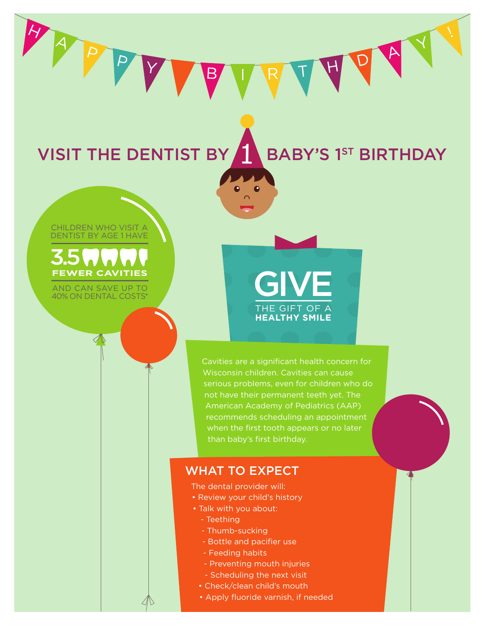VISIT THE DENTIST BY A BABY'S 1ST BIRTHDAY

#### CHILDREN WHO VISIT A DENTIST BY AGE 1 HAVE

PP



AND CAN SAVE UP TO 40% ON DENTAL COSTS\*

# THE GIFT OF A **HEALTHY SMILE GIVE**

Cavities are a significant health concern for Wisconsin children. Cavities can cause serious problems, even for children who do not have their permanent teeth yet. The American Academy of Pediatrics (AAP) recommends scheduling an appointment when the first tooth appears or no later than baby's first birthday.

### WHAT TO EXPECT

1

The dental provider will:

- Review your child's history
- Talk with you about:
	- Teething
	- Thumb-sucking
	- Bottle and pacifier use
	- Feeding habits
	- Preventing mouth injuries
	- Scheduling the next visit
	- Check/clean child's mouth
	- Apply fluoride varnish, if needed